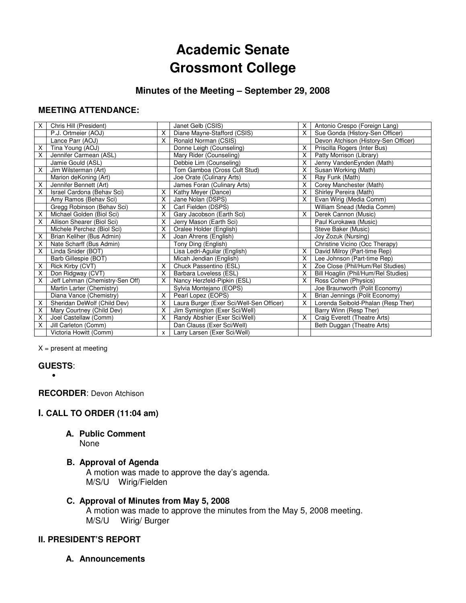# **Academic Senate Grossmont College**

## **Minutes of the Meeting – September 29, 2008**

## **MEETING ATTENDANCE:**

| X. | Chris Hill (President)          |   | Janet Gelb (CSIS)                        | X. | Antonio Crespo (Foreign Lang)        |
|----|---------------------------------|---|------------------------------------------|----|--------------------------------------|
|    | P.J. Ortmeier (AOJ)             | X | Diane Mayne-Stafford (CSIS)              | X. | Sue Gonda (History-Sen Officer)      |
|    | Lance Parr (AOJ)                | X | Ronald Norman (CSIS)                     |    | Devon Atchison (History-Sen Officer) |
| X  | Tina Young (AOJ)                |   | Donne Leigh (Counseling)                 | X. | Priscilla Rogers (Inter Bus)         |
| X  | Jennifer Carmean (ASL)          |   | Mary Rider (Counseling)                  | X. | Patty Morrison (Library)             |
|    | Jamie Gould (ASL)               |   | Debbie Lim (Counseling)                  | X. | Jenny VandenEynden (Math)            |
| X  | Jim Wilsterman (Art)            |   | Tom Gamboa (Cross Cult Stud)             | X. | Susan Working (Math)                 |
|    | Marion deKoning (Art)           |   | Joe Orate (Culinary Arts)                | X. | Ray Funk (Math)                      |
| x  | Jennifer Bennett (Art)          |   | James Foran (Culinary Arts)              | X. | Corey Manchester (Math)              |
| Χ  | Israel Cardona (Behav Sci)      | X | Kathy Meyer (Dance)                      | X. | Shirley Pereira (Math)               |
|    | Amy Ramos (Behav Sci)           | X | Jane Nolan (DSPS)                        | X. | Evan Wirig (Media Comm)              |
|    | Gregg Robinson (Behav Sci)      | Χ | Carl Fielden (DSPS)                      |    | William Snead (Media Comm)           |
| X  | Michael Golden (Biol Sci)       | X | Gary Jacobson (Earth Sci)                | X. | Derek Cannon (Music)                 |
| X  | Allison Shearer (Biol Sci)      | X | Jerry Mason (Earth Sci)                  |    | Paul Kurokawa (Music)                |
|    | Michele Perchez (Biol Sci)      | X | Oralee Holder (English)                  |    | Steve Baker (Music)                  |
| X  | Brian Keliher (Bus Admin)       | X | Joan Ahrens (English)                    |    | Joy Zozuk (Nursing)                  |
| X  | Nate Scharff (Bus Admin)        |   | Tony Ding (English)                      |    | Christine Vicino (Occ Therapy)       |
| X  | Linda Snider (BOT)              |   | Lisa Ledri-Aguilar (English)             | X. | David Milroy (Part-time Rep)         |
|    | Barb Gillespie (BOT)            |   | Micah Jendian (English)                  | X. | Lee Johnson (Part-time Rep)          |
| х  | Rick Kirby (CVT)                | X | Chuck Passentino (ESL)                   | X. | Zoe Close (Phil/Hum/Rel Studies)     |
| Χ  | Don Ridgway (CVT)               | X | Barbara Loveless (ESL)                   | X  | Bill Hoaglin (Phil/Hum/Rel Studies)  |
| X  | Jeff Lehman (Chemistry-Sen Off) | X | Nancy Herzfeld-Pipkin (ESL)              | X. | Ross Cohen (Physics)                 |
|    | Martin Larter (Chemistry)       |   | Sylvia Montejano (EOPS)                  |    | Joe Braunworth (Polit Economy)       |
|    | Diana Vance (Chemistry)         | X | Pearl Lopez (EOPS)                       | X. | Brian Jennings (Polit Economy)       |
| X  | Sheridan DeWolf (Child Dev)     | X | Laura Burger (Exer Sci/Well-Sen Officer) | X. | Lorenda Seibold-Phalan (Resp Ther)   |
| X  | Mary Courtney (Child Dev)       | X | Jim Symington (Exer Sci/Well)            |    | Barry Winn (Resp Ther)               |
| X  | Joel Castellaw (Comm)           | X | Randy Abshier (Exer Sci/Well)            | X. | Craig Everett (Theatre Arts)         |
| Χ  | Jill Carleton (Comm)            |   | Dan Clauss (Exer Sci/Well)               |    | Beth Duggan (Theatre Arts)           |
|    | Victoria Howitt (Comm)          | X | Larry Larsen (Exer Sci/Well)             |    |                                      |

 $X =$  present at meeting

## **GUESTS**:

•

**RECORDER**: Devon Atchison

## **I. CALL TO ORDER (11:04 am)**

## **A. Public Comment**

None

#### **B. Approval of Agenda**

A motion was made to approve the day's agenda. M/S/U Wirig/Fielden

**C. Approval of Minutes from May 5, 2008**  A motion was made to approve the minutes from the May 5, 2008 meeting. M/S/U Wirig/ Burger

#### **II. PRESIDENT'S REPORT**

**A. Announcements**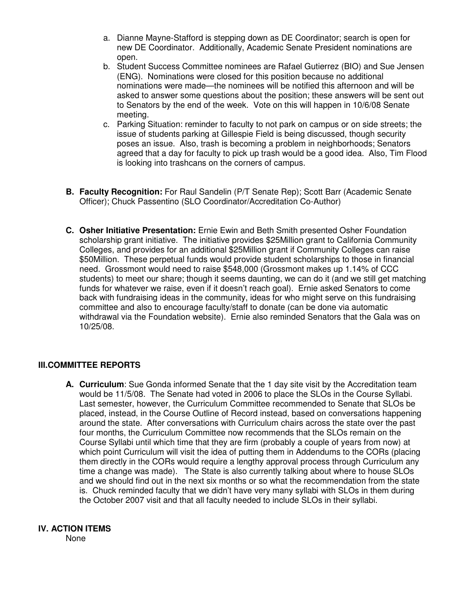- a. Dianne Mayne-Stafford is stepping down as DE Coordinator; search is open for new DE Coordinator. Additionally, Academic Senate President nominations are open.
- b. Student Success Committee nominees are Rafael Gutierrez (BIO) and Sue Jensen (ENG). Nominations were closed for this position because no additional nominations were made—the nominees will be notified this afternoon and will be asked to answer some questions about the position; these answers will be sent out to Senators by the end of the week. Vote on this will happen in 10/6/08 Senate meeting.
- c. Parking Situation: reminder to faculty to not park on campus or on side streets; the issue of students parking at Gillespie Field is being discussed, though security poses an issue. Also, trash is becoming a problem in neighborhoods; Senators agreed that a day for faculty to pick up trash would be a good idea. Also, Tim Flood is looking into trashcans on the corners of campus.
- **B. Faculty Recognition:** For Raul Sandelin (P/T Senate Rep); Scott Barr (Academic Senate Officer); Chuck Passentino (SLO Coordinator/Accreditation Co-Author)
- **C. Osher Initiative Presentation:** Ernie Ewin and Beth Smith presented Osher Foundation scholarship grant initiative. The initiative provides \$25Million grant to California Community Colleges, and provides for an additional \$25Million grant if Community Colleges can raise \$50Million. These perpetual funds would provide student scholarships to those in financial need. Grossmont would need to raise \$548,000 (Grossmont makes up 1.14% of CCC students) to meet our share; though it seems daunting, we can do it (and we still get matching funds for whatever we raise, even if it doesn't reach goal). Ernie asked Senators to come back with fundraising ideas in the community, ideas for who might serve on this fundraising committee and also to encourage faculty/staff to donate (can be done via automatic withdrawal via the Foundation website). Ernie also reminded Senators that the Gala was on 10/25/08.

## **III.COMMITTEE REPORTS**

**A. Curriculum**: Sue Gonda informed Senate that the 1 day site visit by the Accreditation team would be 11/5/08. The Senate had voted in 2006 to place the SLOs in the Course Syllabi. Last semester, however, the Curriculum Committee recommended to Senate that SLOs be placed, instead, in the Course Outline of Record instead, based on conversations happening around the state. After conversations with Curriculum chairs across the state over the past four months, the Curriculum Committee now recommends that the SLOs remain on the Course Syllabi until which time that they are firm (probably a couple of years from now) at which point Curriculum will visit the idea of putting them in Addendums to the CORs (placing them directly in the CORs would require a lengthy approval process through Curriculum any time a change was made). The State is also currently talking about where to house SLOs and we should find out in the next six months or so what the recommendation from the state is. Chuck reminded faculty that we didn't have very many syllabi with SLOs in them during the October 2007 visit and that all faculty needed to include SLOs in their syllabi.

## **IV. ACTION ITEMS**

None